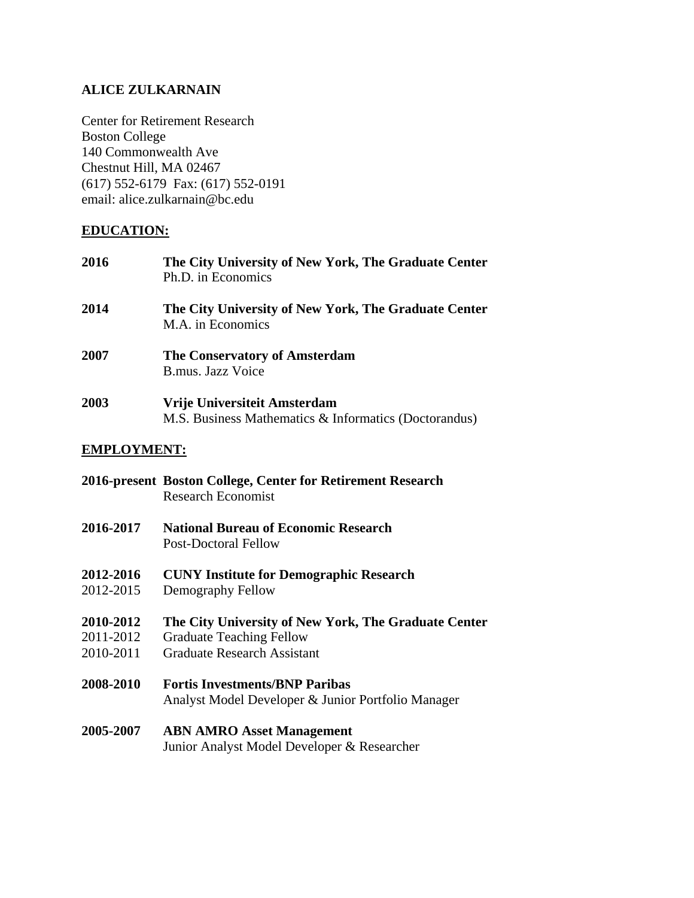# **ALICE ZULKARNAIN**

Center for Retirement Research Boston College 140 Commonwealth Ave Chestnut Hill, MA 02467 (617) 552-6179 Fax: (617) 552-0191 email: alice.zulkarnain@bc.edu

## **EDUCATION:**

| 2016 | The City University of New York, The Graduate Center<br>Ph.D. in Economics            |
|------|---------------------------------------------------------------------------------------|
| 2014 | The City University of New York, The Graduate Center<br>M.A. in Economics             |
| 2007 | <b>The Conservatory of Amsterdam</b><br>B.mus. Jazz Voice                             |
| 2003 | Vrije Universiteit Amsterdam<br>M.S. Business Mathematics & Informatics (Doctorandus) |

#### **EMPLOYMENT:**

|                  | 2016-present Boston College, Center for Retirement Research<br><b>Research Economist</b>    |
|------------------|---------------------------------------------------------------------------------------------|
| 2016-2017        | <b>National Bureau of Economic Research</b><br><b>Post-Doctoral Fellow</b>                  |
| <b>2012-2016</b> | <b>CUNY Institute for Demographic Research</b>                                              |
| 2012-2015        | Demography Fellow                                                                           |
| <b>2010-2012</b> | The City University of New York, The Graduate Center                                        |
| 2011-2012        | <b>Graduate Teaching Fellow</b>                                                             |
| 2010-2011        | <b>Graduate Research Assistant</b>                                                          |
| <b>2008-2010</b> | <b>Fortis Investments/BNP Paribas</b><br>Analyst Model Developer & Junior Portfolio Manager |
| <b>2005-2007</b> | <b>ABN AMRO Asset Management</b><br>Junior Analyst Model Developer & Researcher             |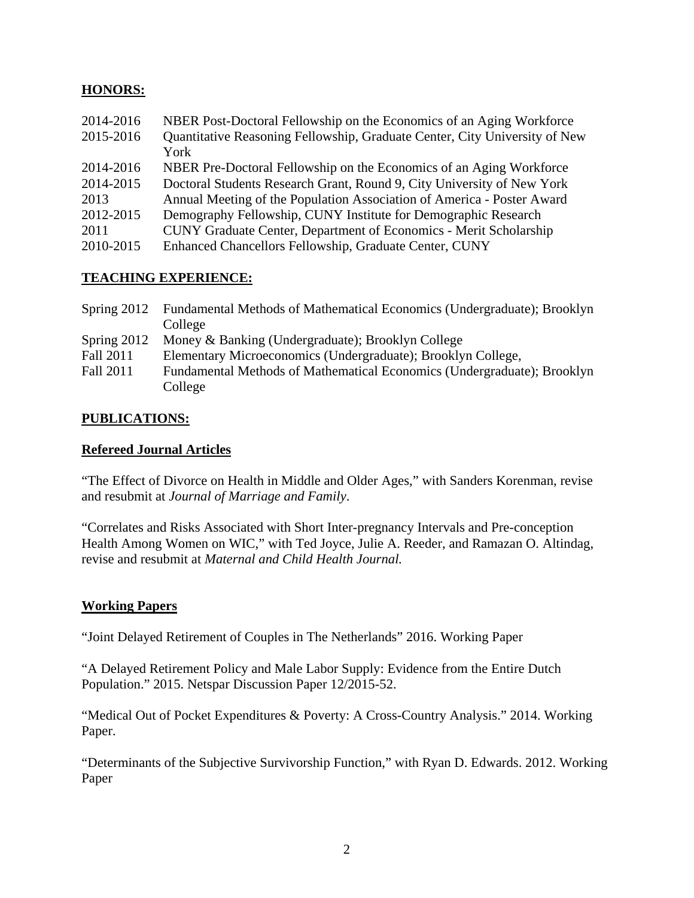## **HONORS:**

| 2014-2016 | NBER Post-Doctoral Fellowship on the Economics of an Aging Workforce       |
|-----------|----------------------------------------------------------------------------|
| 2015-2016 | Quantitative Reasoning Fellowship, Graduate Center, City University of New |
|           | York                                                                       |
| 2014-2016 | NBER Pre-Doctoral Fellowship on the Economics of an Aging Workforce        |
| 2014-2015 | Doctoral Students Research Grant, Round 9, City University of New York     |
| 2013      | Annual Meeting of the Population Association of America - Poster Award     |
| 2012-2015 | Demography Fellowship, CUNY Institute for Demographic Research             |
| 2011      | CUNY Graduate Center, Department of Economics - Merit Scholarship          |
| 2010-2015 | Enhanced Chancellors Fellowship, Graduate Center, CUNY                     |
|           |                                                                            |

## **TEACHING EXPERIENCE:**

|               | Spring 2012 Fundamental Methods of Mathematical Economics (Undergraduate); Brooklyn |
|---------------|-------------------------------------------------------------------------------------|
|               | College                                                                             |
| Spring $2012$ | Money & Banking (Undergraduate); Brooklyn College                                   |
| Fall 2011     | Elementary Microeconomics (Undergraduate); Brooklyn College,                        |
| Fall 2011     | Fundamental Methods of Mathematical Economics (Undergraduate); Brooklyn             |
|               | College                                                                             |

# **PUBLICATIONS:**

#### **Refereed Journal Articles**

"The Effect of Divorce on Health in Middle and Older Ages," with Sanders Korenman, revise and resubmit at *Journal of Marriage and Family*.

"Correlates and Risks Associated with Short Inter-pregnancy Intervals and Pre-conception Health Among Women on WIC," with Ted Joyce, Julie A. Reeder, and Ramazan O. Altindag, revise and resubmit at *Maternal and Child Health Journal.*

## **Working Papers**

"Joint Delayed Retirement of Couples in The Netherlands" 2016. Working Paper

"A Delayed Retirement Policy and Male Labor Supply: Evidence from the Entire Dutch Population." 2015. Netspar Discussion Paper 12/2015-52.

"Medical Out of Pocket Expenditures & Poverty: A Cross-Country Analysis." 2014. Working Paper.

"Determinants of the Subjective Survivorship Function," with Ryan D. Edwards. 2012. Working Paper